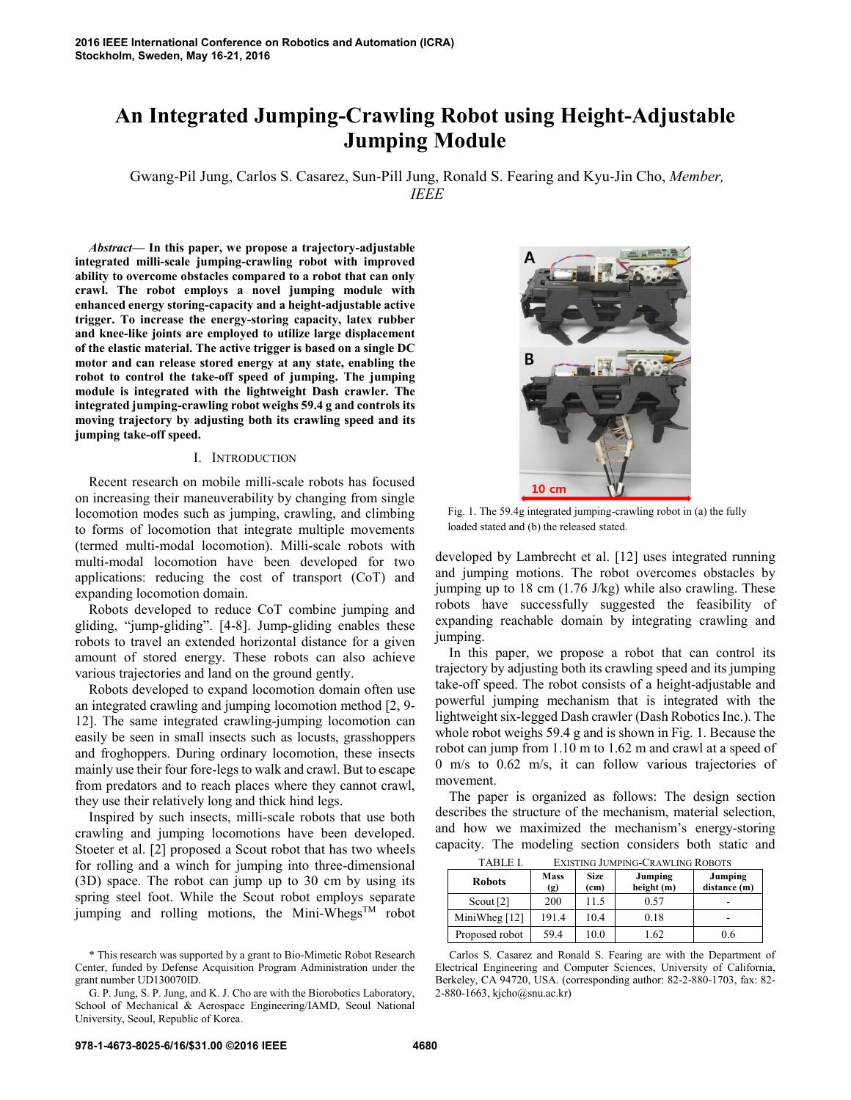# **An Integrated Jumping-Crawling Robot using Height-Adjustable Jumping Module**

Gwang-Pil Jung, Carlos S. Casarez, Sun-Pill Jung, Ronald S. Fearing and Kyu-Jin Cho, *Member, IEEE*

*Abstract***— In this paper, we propose a trajectory-adjustable integrated milli-scale jumping-crawling robot with improved ability to overcome obstacles compared to a robot that can only crawl. The robot employs a novel jumping module with enhanced energy storing-capacity and a height-adjustable active trigger. To increase the energy-storing capacity, latex rubber and knee-like joints are employed to utilize large displacement of the elastic material. The active trigger is based on a single DC motor and can release stored energy at any state, enabling the robot to control the take-off speed of jumping. The jumping module is integrated with the lightweight Dash crawler. The integrated jumping-crawling robot weighs 59.4 g and controls its moving trajectory by adjusting both its crawling speed and its jumping take-off speed.** 

## I. INTRODUCTION

Recent research on mobile milli-scale robots has focused on increasing their maneuverability by changing from single locomotion modes such as jumping, crawling, and climbing to forms of locomotion that integrate multiple movements (termed multi-modal locomotion). Milli-scale robots with multi-modal locomotion have been developed for two applications: reducing the cost of transport (CoT) and expanding locomotion domain.

Robots developed to reduce CoT combine jumping and gliding, "jump-gliding". [4-8]. Jump-gliding enables these robots to travel an extended horizontal distance for a given amount of stored energy. These robots can also achieve various trajectories and land on the ground gently.

Robots developed to expand locomotion domain often use an integrated crawling and jumping locomotion method [2, 9- 12]. The same integrated crawling-jumping locomotion can easily be seen in small insects such as locusts, grasshoppers and froghoppers. During ordinary locomotion, these insects mainly use their four fore-legs to walk and crawl. But to escape from predators and to reach places where they cannot crawl, they use their relatively long and thick hind legs.

Inspired by such insects, milli-scale robots that use both crawling and jumping locomotions have been developed. Stoeter et al. [2] proposed a Scout robot that has two wheels for rolling and a winch for jumping into three-dimensional (3D) space. The robot can jump up to 30 cm by using its spring steel foot. While the Scout robot employs separate jumping and rolling motions, the Mini-Whegs<sup>TM</sup> robot



Fig. 1. The 59.4g integrated jumping-crawling robot in (a) the fully loaded stated and (b) the released stated.

developed by Lambrecht et al. [12] uses integrated running and jumping motions. The robot overcomes obstacles by jumping up to 18 cm (1.76 J/kg) while also crawling. These robots have successfully suggested the feasibility of expanding reachable domain by integrating crawling and jumping.

In this paper, we propose a robot that can control its trajectory by adjusting both its crawling speed and its jumping take-off speed. The robot consists of a height-adjustable and powerful jumping mechanism that is integrated with the lightweight six-legged Dash crawler (Dash Robotics Inc.). The whole robot weighs 59.4 g and is shown in Fig. 1. Because the robot can jump from 1.10 m to 1.62 m and crawl at a speed of 0 m/s to 0.62 m/s, it can follow various trajectories of movement.

The paper is organized as follows: The design section describes the structure of the mechanism, material selection, and how we maximized the mechanism's energy-storing capacity. The modeling section considers both static and

TABLE I. EVISTING JUMPING CRAWLING ROBOTS

| 17DLC 1.       | EAISHING JUMETING-CRAWLING INOBOTS         |                                  |                       |                         |  |
|----------------|--------------------------------------------|----------------------------------|-----------------------|-------------------------|--|
| <b>Robots</b>  | <b>Mass</b><br>$\left( \mathbf{g} \right)$ | <b>Size</b><br>(c <sub>m</sub> ) | Jumping<br>height (m) | Jumping<br>distance (m) |  |
| Scout $[2]$    | 200                                        | 11.5                             | 0.57                  |                         |  |
| MiniWheg [12]  | 191.4                                      | 10.4                             | 0.18                  |                         |  |
| Proposed robot | 59.4                                       | 10.0                             | 1.62                  | 0.6                     |  |

Carlos S. Casarez and Ronald S. Fearing are with the Department of Electrical Engineering and Computer Sciences, University of California, Berkeley, CA 94720, USA. (corresponding author: 82-2-880-1703, fax: 82- 2-880-1663, kjcho@snu.ac.kr)

<sup>\*</sup> This research was supported by a grant to Bio-Mimetic Robot Research Center, funded by Defense Acquisition Program Administration under the grant number UD130070ID.

G. P. Jung, S. P. Jung, and K. J. Cho are with the Biorobotics Laboratory, School of Mechanical & Aerospace Engineering/IAMD, Seoul National University, Seoul, Republic of Korea.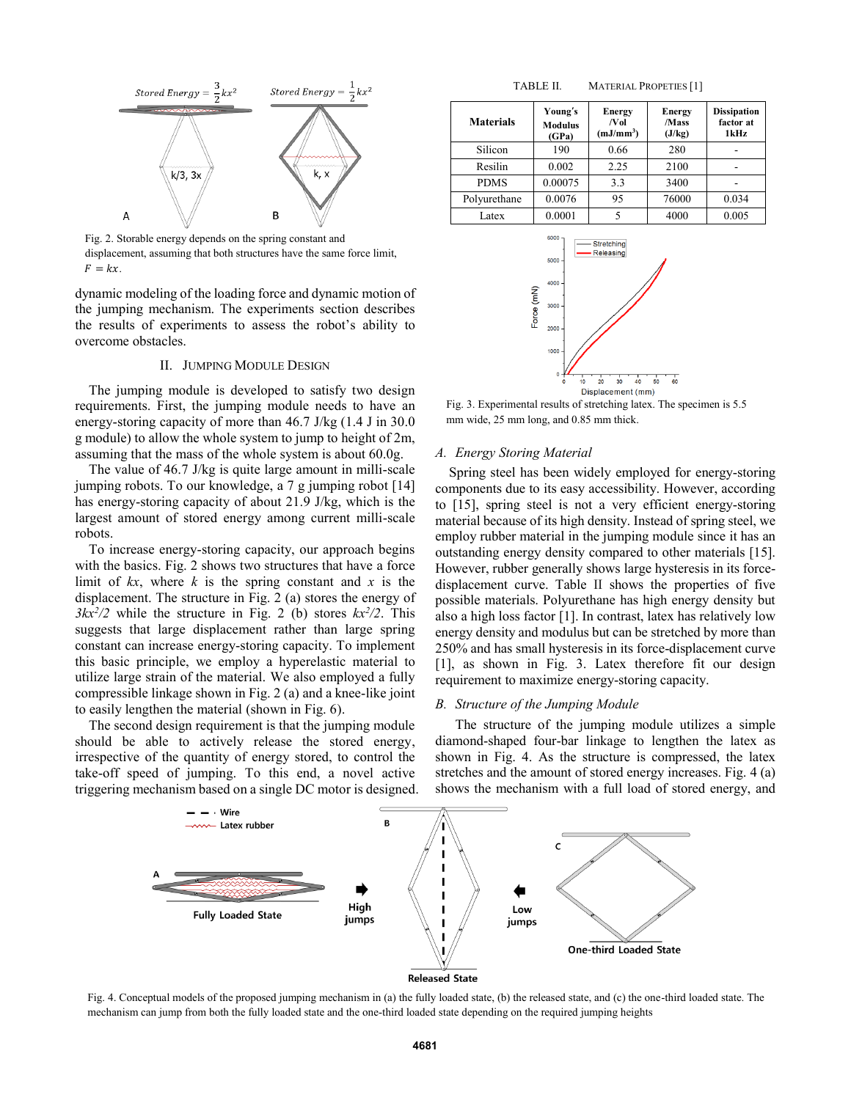

Fig. 2. Storable energy depends on the spring constant and displacement, assuming that both structures have the same force limit,  $F = kx$ 

dynamic modeling of the loading force and dynamic motion of the jumping mechanism. The experiments section describes the results of experiments to assess the robot's ability to overcome obstacles.

## II. JUMPING MODULE DESIGN

The jumping module is developed to satisfy two design requirements. First, the jumping module needs to have an energy-storing capacity of more than 46.7 J/kg (1.4 J in 30.0 g module) to allow the whole system to jump to height of 2m, assuming that the mass of the whole system is about 60.0g.

The value of 46.7 J/kg is quite large amount in milli-scale jumping robots. To our knowledge, a 7 g jumping robot [14] has energy-storing capacity of about 21.9 J/kg, which is the largest amount of stored energy among current milli-scale robots.

To increase energy-storing capacity, our approach begins with the basics. Fig. 2 shows two structures that have a force limit of  $kx$ , where  $k$  is the spring constant and  $x$  is the displacement. The structure in Fig. 2 (a) stores the energy of  $3kx^2/2$  while the structure in Fig. 2 (b) stores  $kx^2/2$ . This suggests that large displacement rather than large spring constant can increase energy-storing capacity. To implement this basic principle, we employ a hyperelastic material to utilize large strain of the material. We also employed a fully compressible linkage shown in Fig. 2 (a) and a knee-like joint to easily lengthen the material (shown in Fig. 6).

The second design requirement is that the jumping module should be able to actively release the stored energy, irrespective of the quantity of energy stored, to control the take-off speed of jumping. To this end, a novel active triggering mechanism based on a single DC motor is designed.

TABLE II. MATERIAL PROPETIES [1]

| <b>Materials</b> | Young's<br><b>Modulus</b><br>(GPa) | <b>Energy</b><br>/Vol<br>(mJ/mm <sup>3</sup> ) | <b>Energy</b><br>/Mass<br>(J/kg) | <b>Dissipation</b><br>factor at<br>1kHz |
|------------------|------------------------------------|------------------------------------------------|----------------------------------|-----------------------------------------|
| Silicon          | 190                                | 0.66                                           | 280                              |                                         |
| Resilin          | 0.002                              | 2.25                                           | 2100                             |                                         |
| <b>PDMS</b>      | 0.00075                            | 3.3                                            | 3400                             |                                         |
| Polyurethane     | 0.0076                             | 95                                             | 76000                            | 0.034                                   |
| Latex            | 0.0001                             |                                                | 4000                             | 0.005                                   |



Fig. 3. Experimental results of stretching latex. The specimen is 5.5 mm wide, 25 mm long, and 0.85 mm thick.

#### *A. Energy Storing Material*

Spring steel has been widely employed for energy-storing components due to its easy accessibility. However, according to [15], spring steel is not a very efficient energy-storing material because of its high density. Instead of spring steel, we employ rubber material in the jumping module since it has an outstanding energy density compared to other materials [15]. However, rubber generally shows large hysteresis in its forcedisplacement curve. Table II shows the properties of five possible materials. Polyurethane has high energy density but also a high loss factor [1]. In contrast, latex has relatively low energy density and modulus but can be stretched by more than 250% and has small hysteresis in its force-displacement curve [1], as shown in Fig. 3. Latex therefore fit our design requirement to maximize energy-storing capacity.

## *B. Structure of the Jumping Module*

The structure of the jumping module utilizes a simple diamond-shaped four-bar linkage to lengthen the latex as shown in Fig. 4. As the structure is compressed, the latex stretches and the amount of stored energy increases. Fig. 4 (a) shows the mechanism with a full load of stored energy, and



Fig. 4. Conceptual models of the proposed jumping mechanism in (a) the fully loaded state, (b) the released state, and (c) the one-third loaded state. The mechanism can jump from both the fully loaded state and the one-third loaded state depending on the required jumping heights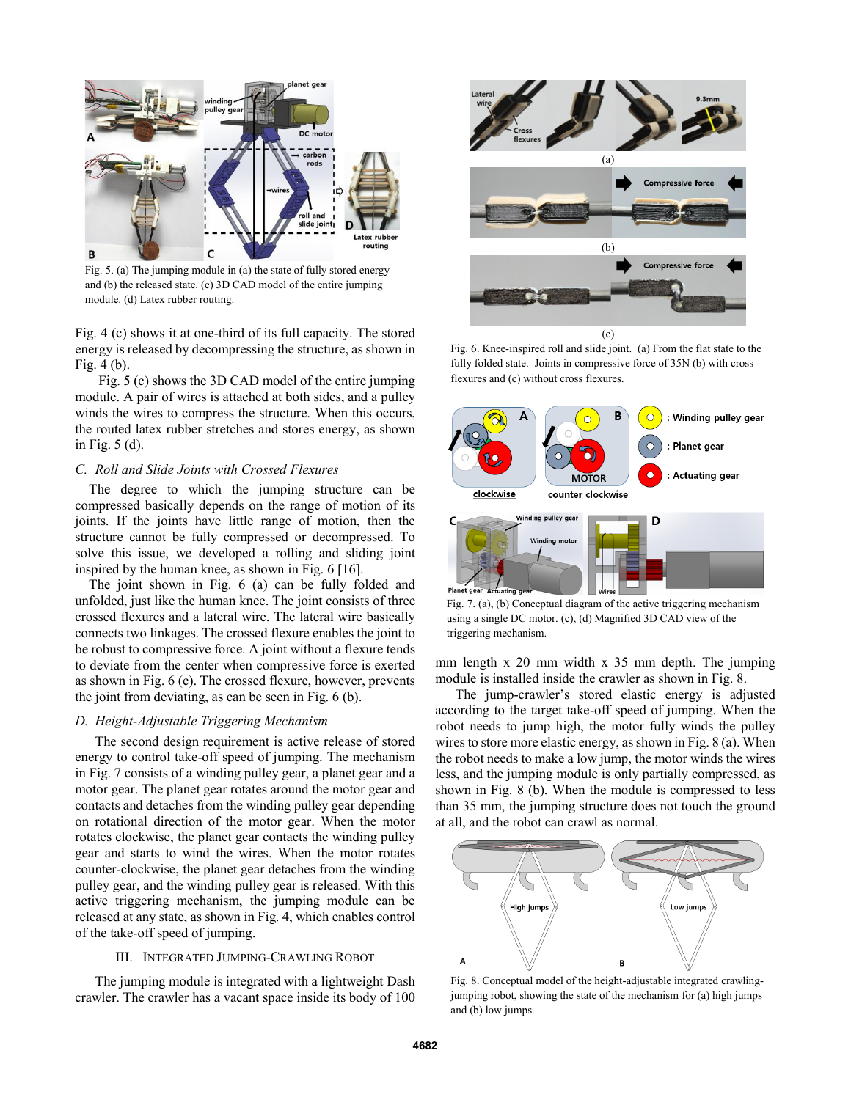

Fig. 5. (a) The jumping module in (a) the state of fully stored energy and (b) the released state. (c) 3D CAD model of the entire jumping module. (d) Latex rubber routing.

Fig. 4 (c) shows it at one-third of its full capacity. The stored energy is released by decompressing the structure, as shown in Fig. 4 (b).

Fig. 5 (c) shows the 3D CAD model of the entire jumping module. A pair of wires is attached at both sides, and a pulley winds the wires to compress the structure. When this occurs, the routed latex rubber stretches and stores energy, as shown in Fig. 5 (d).

## *C. Roll and Slide Joints with Crossed Flexures*

The degree to which the jumping structure can be compressed basically depends on the range of motion of its joints. If the joints have little range of motion, then the structure cannot be fully compressed or decompressed. To solve this issue, we developed a rolling and sliding joint inspired by the human knee, as shown in Fig. 6 [16].

The joint shown in Fig. 6 (a) can be fully folded and unfolded, just like the human knee. The joint consists of three crossed flexures and a lateral wire. The lateral wire basically connects two linkages. The crossed flexure enables the joint to be robust to compressive force. A joint without a flexure tends to deviate from the center when compressive force is exerted as shown in Fig. 6 (c). The crossed flexure, however, prevents the joint from deviating, as can be seen in Fig. 6 (b).

## *D. Height-Adjustable Triggering Mechanism*

The second design requirement is active release of stored energy to control take-off speed of jumping. The mechanism in Fig. 7 consists of a winding pulley gear, a planet gear and a motor gear. The planet gear rotates around the motor gear and contacts and detaches from the winding pulley gear depending on rotational direction of the motor gear. When the motor rotates clockwise, the planet gear contacts the winding pulley gear and starts to wind the wires. When the motor rotates counter-clockwise, the planet gear detaches from the winding pulley gear, and the winding pulley gear is released. With this active triggering mechanism, the jumping module can be released at any state, as shown in Fig. 4, which enables control of the take-off speed of jumping.

## III. INTEGRATED JUMPING-CRAWLING ROBOT

The jumping module is integrated with a lightweight Dash crawler. The crawler has a vacant space inside its body of 100



Fig. 6. Knee-inspired roll and slide joint. (a) From the flat state to the fully folded state. Joints in compressive force of 35N (b) with cross flexures and (c) without cross flexures.



Fig. 7. (a), (b) Conceptual diagram of the active triggering mechanism using a single DC motor. (c), (d) Magnified 3D CAD view of the triggering mechanism.

mm length x 20 mm width x 35 mm depth. The jumping module is installed inside the crawler as shown in Fig. 8.

The jump-crawler's stored elastic energy is adjusted according to the target take-off speed of jumping. When the robot needs to jump high, the motor fully winds the pulley wires to store more elastic energy, as shown in Fig. 8 (a). When the robot needs to make a low jump, the motor winds the wires less, and the jumping module is only partially compressed, as shown in Fig. 8 (b). When the module is compressed to less than 35 mm, the jumping structure does not touch the ground at all, and the robot can crawl as normal.



Fig. 8. Conceptual model of the height-adjustable integrated crawlingjumping robot, showing the state of the mechanism for (a) high jumps and (b) low jumps.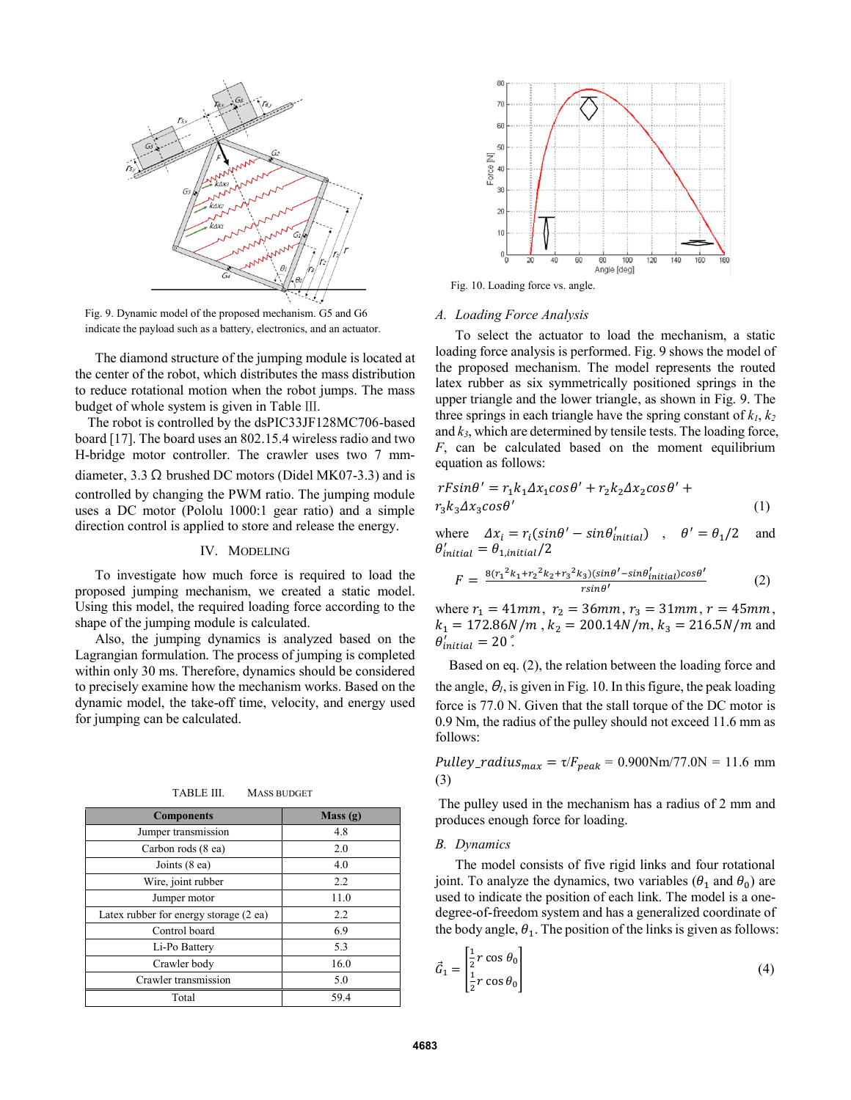

Fig. 9. Dynamic model of the proposed mechanism. G5 and G6 indicate the payload such as a battery, electronics, and an actuator.

The diamond structure of the jumping module is located at the center of the robot, which distributes the mass distribution to reduce rotational motion when the robot jumps. The mass budget of whole system is given in Table Ⅲ.

The robot is controlled by the dsPIC33JF128MC706-based board [17]. The board uses an 802.15.4 wireless radio and two H-bridge motor controller. The crawler uses two 7 mmdiameter, 3.3  $\Omega$  brushed DC motors (Didel MK07-3.3) and is controlled by changing the PWM ratio. The jumping module uses a DC motor (Pololu 1000:1 gear ratio) and a simple direction control is applied to store and release the energy.

## IV. MODELING

To investigate how much force is required to load the proposed jumping mechanism, we created a static model. Using this model, the required loading force according to the shape of the jumping module is calculated.

Also, the jumping dynamics is analyzed based on the Lagrangian formulation. The process of jumping is completed within only 30 ms. Therefore, dynamics should be considered to precisely examine how the mechanism works. Based on the dynamic model, the take-off time, velocity, and energy used for jumping can be calculated.

TABLE III. MASS BUDGET

| <b>Components</b>                      | Mass(g) |
|----------------------------------------|---------|
| Jumper transmission                    | 4.8     |
| Carbon rods (8 ea)                     | 2.0     |
| Joints (8 ea)                          | 4.0     |
| Wire, joint rubber                     | 2.2     |
| Jumper motor                           | 11.0    |
| Latex rubber for energy storage (2 ea) | 2.2     |
| Control board                          | 6.9     |
| Li-Po Battery                          | 5.3     |
| Crawler body                           | 16.0    |
| Crawler transmission                   | 5.0     |
| Total                                  | 59.4    |



Fig. 10. Loading force vs. angle.

#### *A. Loading Force Analysis*

To select the actuator to load the mechanism, a static loading force analysis is performed. Fig. 9 shows the model of the proposed mechanism. The model represents the routed latex rubber as six symmetrically positioned springs in the upper triangle and the lower triangle, as shown in Fig. 9. The three springs in each triangle have the spring constant of  $k_1, k_2$ and *k3*, which are determined by tensile tests. The loading force, *F*, can be calculated based on the moment equilibrium equation as follows:

$$
rF\sin\theta' = r_1k_1\Delta x_1\cos\theta' + r_2k_2\Delta x_2\cos\theta' + r_3k_3\Delta x_3\cos\theta'
$$
\n(1)

where  $\Delta x_i = r_i(\sin\theta' - \sin\theta'_{initial})$ ,  $\theta' = \theta_1/2$  and  $\theta'_{initial} = \theta_{1,initial}/2$ 

$$
F = \frac{8(r_1^2 k_1 + r_2^2 k_2 + r_3^2 k_3)(\sin\theta' - \sin\theta'_{initial})\cos\theta'}{\sin\theta'} \tag{2}
$$

where  $r_1 = 41$ mm,  $r_2 = 36$ mm,  $r_3 = 31$ mm,  $r = 45$ mm,  $k_1 = 172.86N/m$ ,  $k_2 = 200.14N/m$ ,  $k_3 = 216.5N/m$  and  $\theta'_{initial} = 20$  .

Based on eq. (2), the relation between the loading force and the angle,  $\theta_l$ , is given in Fig. 10. In this figure, the peak loading force is 77.0 N. Given that the stall torque of the DC motor is 0.9 Nm, the radius of the pulley should not exceed 11.6 mm as follows:

Pulley\_radius<sub>max</sub> =  $\tau/F_{peak}$  = 0.900Nm/77.0N = 11.6 mm (3)

The pulley used in the mechanism has a radius of 2 mm and produces enough force for loading.

#### *B. Dynamics*

The model consists of five rigid links and four rotational joint. To analyze the dynamics, two variables  $(\theta_1$  and  $\theta_0)$  are used to indicate the position of each link. The model is a onedegree-of-freedom system and has a generalized coordinate of the body angle,  $\theta_1$ . The position of the links is given as follows:

$$
\vec{G}_1 = \begin{bmatrix} \frac{1}{2}r\cos\theta_0\\ \frac{1}{2}r\cos\theta_0 \end{bmatrix}
$$
 (4)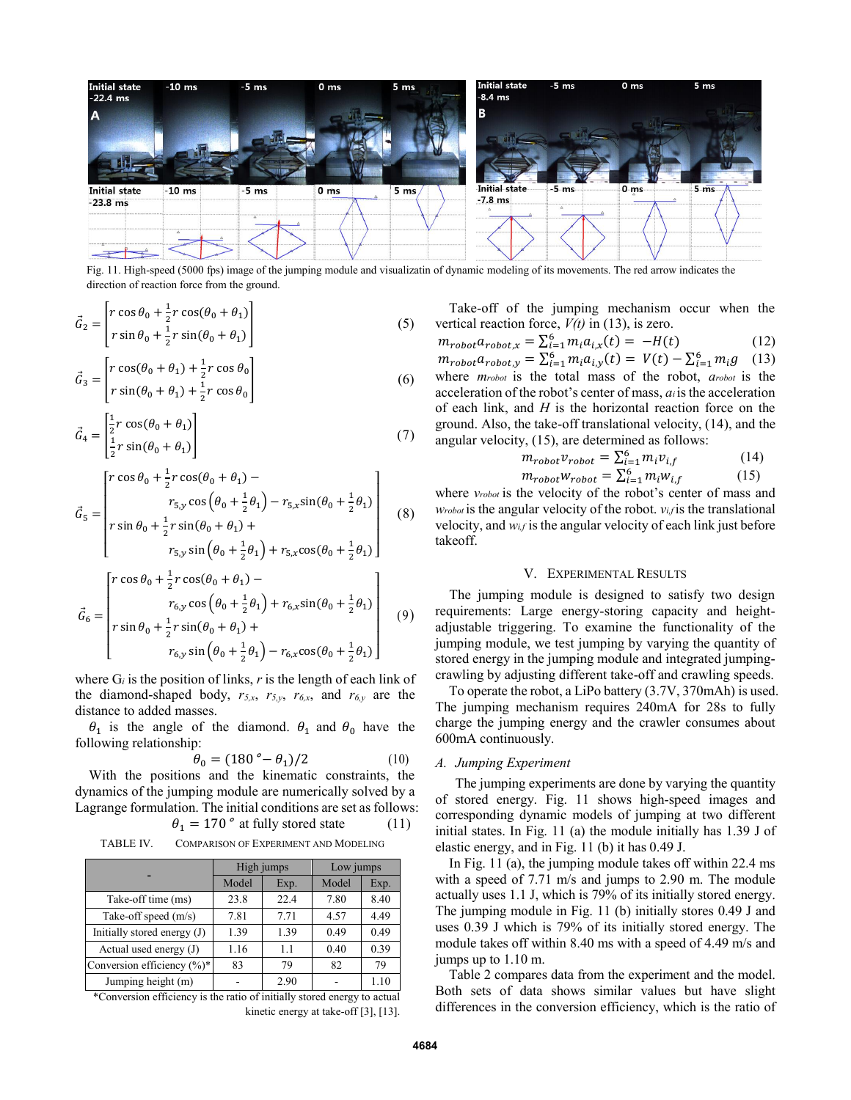

Fig. 11. High-speed (5000 fps) image of the jumping module and visualizatin of dynamic modeling of its movements. The red arrow indicates the direction of reaction force from the ground.

$$
\vec{G}_2 = \begin{bmatrix} r \cos \theta_0 + \frac{1}{2} r \cos(\theta_0 + \theta_1) \\ r \sin \theta_0 + \frac{1}{2} r \sin(\theta_0 + \theta_1) \end{bmatrix}
$$
\n(5)\n
$$
\vec{G}_3 = \begin{bmatrix} r \cos(\theta_0 + \theta_1) + \frac{1}{2} r \cos \theta_0 \\ r \sin(\theta_0 + \theta_1) + \frac{1}{2} r \cos \theta_0 \end{bmatrix}
$$
\n(6)

$$
\vec{G}_4 = \begin{bmatrix} \frac{1}{2}r\cos(\theta_0 + \theta_1) \\ \frac{1}{2}r\sin(\theta_0 + \theta_1) \end{bmatrix}
$$
 (7)

$$
\vec{G}_5 = \begin{bmatrix} r \cos \theta_0 + \frac{1}{2} r \cos(\theta_0 + \theta_1) - \\ r_{5,y} \cos (\theta_0 + \frac{1}{2} \theta_1) - r_{5,x} \sin(\theta_0 + \frac{1}{2} \theta_1) \\ r \sin \theta_0 + \frac{1}{2} r \sin(\theta_0 + \theta_1) + \end{bmatrix}
$$
(8)

$$
\begin{bmatrix}\nr \sin \theta_0 + \frac{1}{2} r \sin(\theta_0 + \theta_1) + \\
r_{5,y} \sin \left(\theta_0 + \frac{1}{2}\theta_1\right) + r_{5,x} \cos(\theta_0 + \frac{1}{2}\theta_1)\n\end{bmatrix}
$$

$$
\vec{G}_6 = \begin{bmatrix} r \cos \theta_0 + \frac{1}{2} r \cos(\theta_0 + \theta_1) - \\ r_{6,y} \cos (\theta_0 + \frac{1}{2} \theta_1) + r_{6,x} \sin(\theta_0 + \frac{1}{2} \theta_1) \\ r \sin \theta_0 + \frac{1}{2} r \sin(\theta_0 + \theta_1) + \\ r_{6,y} \sin (\theta_0 + \frac{1}{2} \theta_1) - r_{6,x} \cos(\theta_0 + \frac{1}{2} \theta_1) \end{bmatrix}
$$
(9)

where  $G_i$  is the position of links,  $r$  is the length of each link of the diamond-shaped body,  $r_{5,x}$ ,  $r_{5,y}$ ,  $r_{6,x}$ , and  $r_{6,y}$  are the distance to added masses.

 $\theta_1$  is the angle of the diamond.  $\theta_1$  and  $\theta_0$  have the following relationship:

$$
\theta_0 = (180 \degree - \theta_1)/2 \tag{10}
$$

With the positions and the kinematic constraints, the dynamics of the jumping module are numerically solved by a Lagrange formulation. The initial conditions are set as follows:

 $\theta_1 = 170$ ° at fully stored state (11)

TABLE IV. COMPARISON OF EXPERIMENT AND MODELING

|                               | High jumps |      | Low jumps |      |
|-------------------------------|------------|------|-----------|------|
|                               | Model      | Exp. | Model     | Exp. |
| Take-off time (ms)            | 23.8       | 22.4 | 7.80      | 8.40 |
| Take-off speed (m/s)          | 7.81       | 7.71 | 4.57      | 4.49 |
| Initially stored energy $(J)$ | 1.39       | 1.39 | 0.49      | 0.49 |
| Actual used energy $(J)$      | 1.16       | 1.1  | 0.40      | 0.39 |
| Conversion efficiency (%)*    | 83         | 79   | 82        | 79   |
| Jumping height (m)            |            | 2.90 |           | 1.10 |

\*Conversion efficiency is the ratio of initially stored energy to actual kinetic energy at take-off [3], [13].

Take-off of the jumping mechanism occur when the vertical reaction force, *V(t)* in (13), is zero.

$$
m_{robot}a_{robot,x} = \sum_{i=1}^{6} m_i a_{i,x}(t) = -H(t)
$$
(12)  
\n
$$
m_{robot}a_{robot,y} = \sum_{i=1}^{6} m_i a_{i,y}(t) = V(t) - \sum_{i=1}^{6} m_i g
$$
(13)  
\nwhere *smooth* is the total mass of the robot, *arobot* is the acceleration of the robot's center of mass, *a* is the acceleration of each link, and *H* is the horizontal reaction force on the ground. Also, the take-off translational velocity, (14), and the angular velocity, (15), are determined as follows:

$$
m_{robot}v_{robot} = \sum_{i=1}^{6} m_i v_{i,f}
$$
 (14)

$$
m_{robot}w_{robot} = \sum_{i=1}^{6} m_i w_{i,f} \tag{15}
$$

where *vrobot* is the velocity of the robot's center of mass and *wrobot* is the angular velocity of the robot. *v*<sub>*i*</sub>*f* is the translational velocity, and *wi,f* is the angular velocity of each link just before takeoff.

# V. EXPERIMENTAL RESULTS

The jumping module is designed to satisfy two design requirements: Large energy-storing capacity and heightadjustable triggering. To examine the functionality of the jumping module, we test jumping by varying the quantity of stored energy in the jumping module and integrated jumpingcrawling by adjusting different take-off and crawling speeds.

To operate the robot, a LiPo battery (3.7V, 370mAh) is used. The jumping mechanism requires 240mA for 28s to fully charge the jumping energy and the crawler consumes about 600mA continuously.

## *A. Jumping Experiment*

The jumping experiments are done by varying the quantity of stored energy. Fig. 11 shows high-speed images and corresponding dynamic models of jumping at two different initial states. In Fig. 11 (a) the module initially has 1.39 J of elastic energy, and in Fig. 11 (b) it has 0.49 J.

In Fig. 11 (a), the jumping module takes off within 22.4 ms with a speed of 7.71 m/s and jumps to 2.90 m. The module actually uses 1.1 J, which is 79% of its initially stored energy. The jumping module in Fig. 11 (b) initially stores 0.49 J and uses 0.39 J which is 79% of its initially stored energy. The module takes off within 8.40 ms with a speed of 4.49 m/s and jumps up to 1.10 m.

Table 2 compares data from the experiment and the model. Both sets of data shows similar values but have slight differences in the conversion efficiency, which is the ratio of